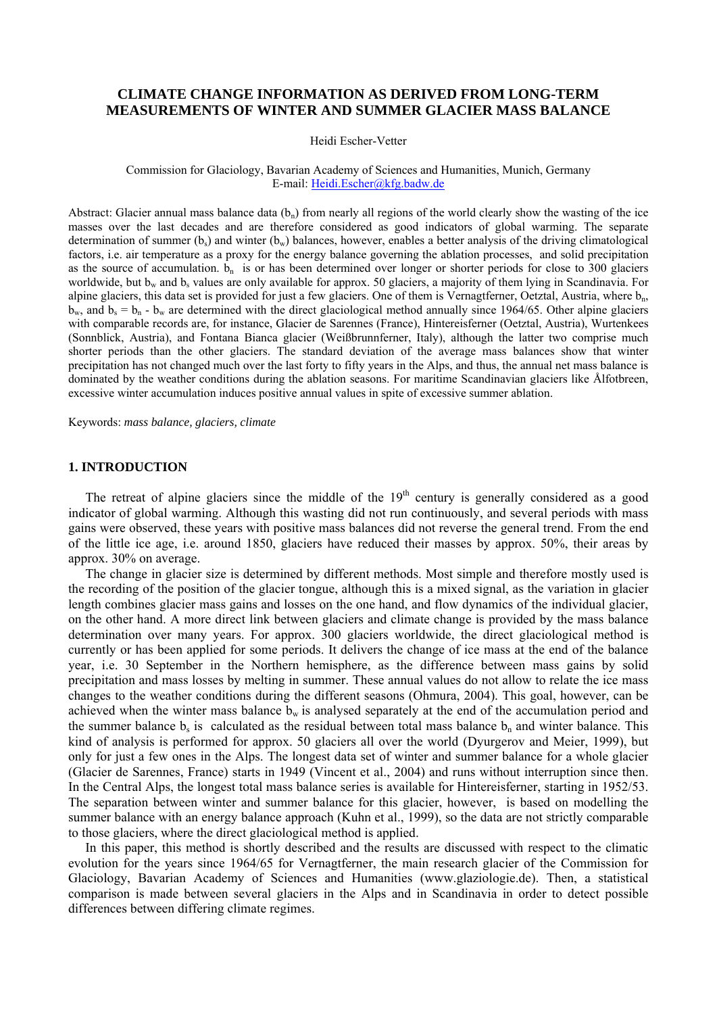# **CLIMATE CHANGE INFORMATION AS DERIVED FROM LONG-TERM MEASUREMENTS OF WINTER AND SUMMER GLACIER MASS BALANCE**

Heidi Escher-Vetter

#### Commission for Glaciology, Bavarian Academy of Sciences and Humanities, Munich, Germany E-mail: Heidi.Escher@kfg.badw.de

Abstract: Glacier annual mass balance data  $(b_n)$  from nearly all regions of the world clearly show the wasting of the ice masses over the last decades and are therefore considered as good indicators of global warming. The separate determination of summer  $(b_s)$  and winter  $(b_w)$  balances, however, enables a better analysis of the driving climatological factors, i.e. air temperature as a proxy for the energy balance governing the ablation processes, and solid precipitation as the source of accumulation.  $b_n$  is or has been determined over longer or shorter periods for close to 300 glaciers worldwide, but  $b_w$  and  $b_s$  values are only available for approx. 50 glaciers, a majority of them lying in Scandinavia. For alpine glaciers, this data set is provided for just a few glaciers. One of them is Vernagtferner, Oetztal, Austria, where  $b_n$ ,  $b_w$ , and  $b_s = b_n - b_w$  are determined with the direct glaciological method annually since 1964/65. Other alpine glaciers with comparable records are, for instance, Glacier de Sarennes (France), Hintereisferner (Oetztal, Austria), Wurtenkees (Sonnblick, Austria), and Fontana Bianca glacier (Weißbrunnferner, Italy), although the latter two comprise much shorter periods than the other glaciers. The standard deviation of the average mass balances show that winter precipitation has not changed much over the last forty to fifty years in the Alps, and thus, the annual net mass balance is dominated by the weather conditions during the ablation seasons. For maritime Scandinavian glaciers like Ålfotbreen, excessive winter accumulation induces positive annual values in spite of excessive summer ablation.

Keywords: *mass balance, glaciers, climate*

# **1. INTRODUCTION**

The retreat of alpine glaciers since the middle of the 19<sup>th</sup> century is generally considered as a good indicator of global warming. Although this wasting did not run continuously, and several periods with mass gains were observed, these years with positive mass balances did not reverse the general trend. From the end of the little ice age, i.e. around 1850, glaciers have reduced their masses by approx. 50%, their areas by approx. 30% on average.

The change in glacier size is determined by different methods. Most simple and therefore mostly used is the recording of the position of the glacier tongue, although this is a mixed signal, as the variation in glacier length combines glacier mass gains and losses on the one hand, and flow dynamics of the individual glacier, on the other hand. A more direct link between glaciers and climate change is provided by the mass balance determination over many years. For approx. 300 glaciers worldwide, the direct glaciological method is currently or has been applied for some periods. It delivers the change of ice mass at the end of the balance year, i.e. 30 September in the Northern hemisphere, as the difference between mass gains by solid precipitation and mass losses by melting in summer. These annual values do not allow to relate the ice mass changes to the weather conditions during the different seasons (Ohmura, 2004). This goal, however, can be achieved when the winter mass balance  $b_w$  is analysed separately at the end of the accumulation period and the summer balance  $b<sub>s</sub>$  is calculated as the residual between total mass balance  $b<sub>n</sub>$  and winter balance. This kind of analysis is performed for approx. 50 glaciers all over the world (Dyurgerov and Meier, 1999), but only for just a few ones in the Alps. The longest data set of winter and summer balance for a whole glacier (Glacier de Sarennes, France) starts in 1949 (Vincent et al., 2004) and runs without interruption since then. In the Central Alps, the longest total mass balance series is available for Hintereisferner, starting in 1952/53. The separation between winter and summer balance for this glacier, however, is based on modelling the summer balance with an energy balance approach (Kuhn et al., 1999), so the data are not strictly comparable to those glaciers, where the direct glaciological method is applied.

In this paper, this method is shortly described and the results are discussed with respect to the climatic evolution for the years since 1964/65 for Vernagtferner, the main research glacier of the Commission for Glaciology, Bavarian Academy of Sciences and Humanities (www.glaziologie.de). Then, a statistical comparison is made between several glaciers in the Alps and in Scandinavia in order to detect possible differences between differing climate regimes.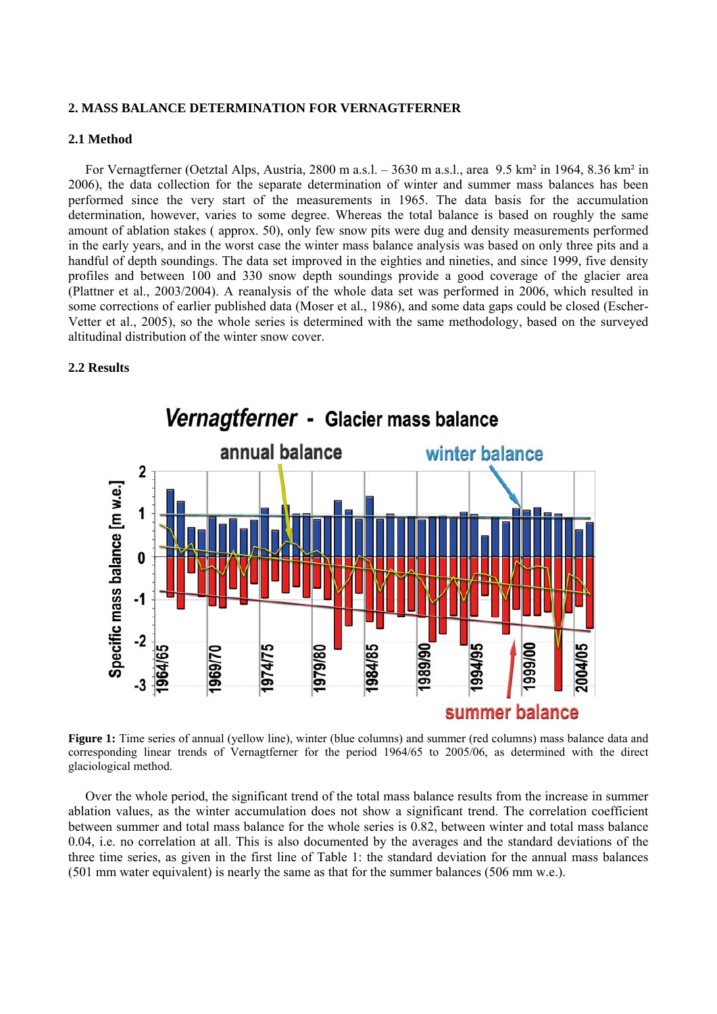## **2. MASS BALANCE DETERMINATION FOR VERNAGTFERNER**

# **2.1 Method**

For Vernagtferner (Oetztal Alps, Austria, 2800 m a.s.l. – 3630 m a.s.l., area 9.5 km² in 1964, 8.36 km² in 2006), the data collection for the separate determination of winter and summer mass balances has been performed since the very start of the measurements in 1965. The data basis for the accumulation determination, however, varies to some degree. Whereas the total balance is based on roughly the same amount of ablation stakes ( approx. 50), only few snow pits were dug and density measurements performed in the early years, and in the worst case the winter mass balance analysis was based on only three pits and a handful of depth soundings. The data set improved in the eighties and nineties, and since 1999, five density profiles and between 100 and 330 snow depth soundings provide a good coverage of the glacier area (Plattner et al., 2003/2004). A reanalysis of the whole data set was performed in 2006, which resulted in some corrections of earlier published data (Moser et al., 1986), and some data gaps could be closed (Escher-Vetter et al., 2005), so the whole series is determined with the same methodology, based on the surveyed altitudinal distribution of the winter snow cover.

# **2.2 Results**



Vernagtferner - Glacier mass balance

**Figure 1:** Time series of annual (yellow line), winter (blue columns) and summer (red columns) mass balance data and corresponding linear trends of Vernagtferner for the period 1964/65 to 2005/06, as determined with the direct glaciological method.

Over the whole period, the significant trend of the total mass balance results from the increase in summer ablation values, as the winter accumulation does not show a significant trend. The correlation coefficient between summer and total mass balance for the whole series is 0.82, between winter and total mass balance 0.04, i.e. no correlation at all. This is also documented by the averages and the standard deviations of the three time series, as given in the first line of Table 1: the standard deviation for the annual mass balances (501 mm water equivalent) is nearly the same as that for the summer balances (506 mm w.e.).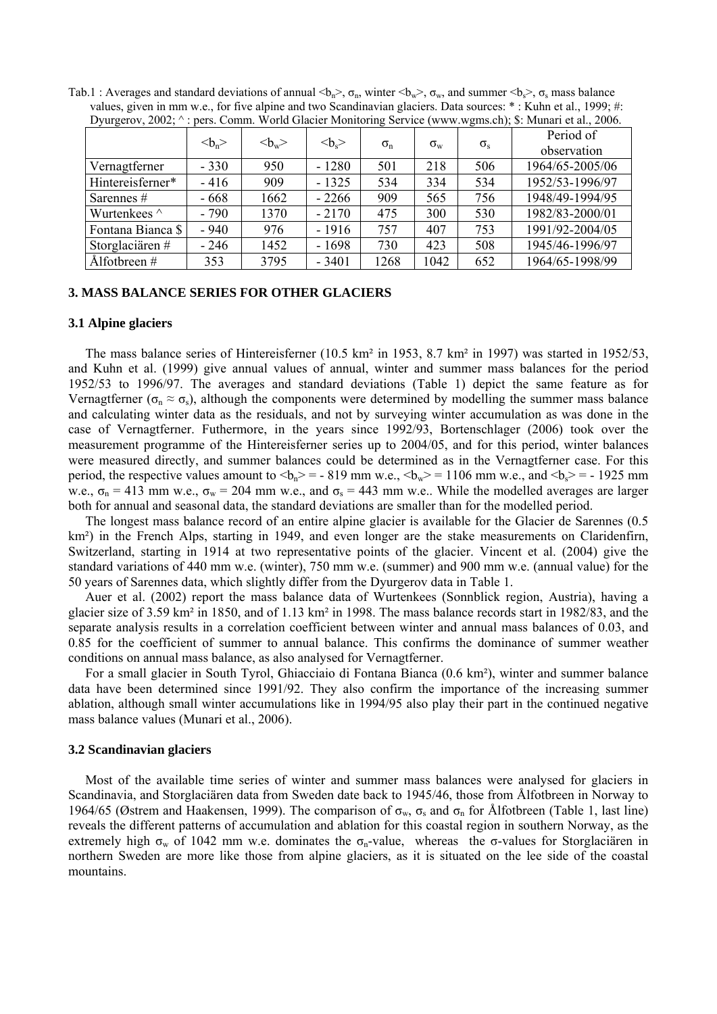| $D$ y $\mu$ $\mu$ $\mu$ $\sigma$ $\mu$ , $\mu$ $\sigma$ $\mu$ , | $\mu$ , Comm. work Glacier montening betwee (www.wgms.cn), $\psi$ . manari et al., 2000. |      |         |                  |                  |              |                          |
|-----------------------------------------------------------------|------------------------------------------------------------------------------------------|------|---------|------------------|------------------|--------------|--------------------------|
|                                                                 | $bn$                                                                                     | $w$  | $bs$    | $\sigma_{\rm n}$ | $\sigma_{\rm w}$ | $\sigma_{s}$ | Period of<br>observation |
| Vernagtferner                                                   | $-330$                                                                                   | 950  | $-1280$ | 501              | 218              | 506          | 1964/65-2005/06          |
| Hintereisferner*                                                | $-416$                                                                                   | 909  | $-1325$ | 534              | 334              | 534          | 1952/53-1996/97          |
| Sarennes #                                                      | - 668                                                                                    | 1662 | $-2266$ | 909              | 565              | 756          | 1948/49-1994/95          |
| Wurtenkees $\wedge$                                             | $-790$                                                                                   | 1370 | $-2170$ | 475              | 300              | 530          | 1982/83-2000/01          |
| Fontana Bianca \$                                               | $-940$                                                                                   | 976  | $-1916$ | 757              | 407              | 753          | 1991/92-2004/05          |
| Storglaciären #                                                 | - 246                                                                                    | 1452 | $-1698$ | 730              | 423              | 508          | 1945/46-1996/97          |
| $\AA$ lfotbreen #                                               | 353                                                                                      | 3795 | $-3401$ | 1268             | 1042             | 652          | 1964/65-1998/99          |

Tab.1 : Averages and standard deviations of annual  $\langle b_n \rangle$ ,  $\sigma_n$ , winter  $\langle b_w \rangle$ ,  $\sigma_w$ , and summer  $\langle b_s \rangle$ ,  $\sigma_s$  mass balance values, given in mm w.e., for five alpine and two Scandinavian glaciers. Data sources:  $*$ : Kuhn et al., 1999; #: Dyurgerov, 2002; ^ : pers. Comm. World Glacier Monitoring Service (www.wgms.ch); \$: Munari et al., 2006.

#### **3. MASS BALANCE SERIES FOR OTHER GLACIERS**

#### **3.1 Alpine glaciers**

The mass balance series of Hintereisferner (10.5 km² in 1953, 8.7 km² in 1997) was started in 1952/53, and Kuhn et al. (1999) give annual values of annual, winter and summer mass balances for the period 1952/53 to 1996/97. The averages and standard deviations (Table 1) depict the same feature as for Vernagtferner ( $\sigma_n \approx \sigma_s$ ), although the components were determined by modelling the summer mass balance and calculating winter data as the residuals, and not by surveying winter accumulation as was done in the case of Vernagtferner. Futhermore, in the years since 1992/93, Bortenschlager (2006) took over the measurement programme of the Hintereisferner series up to 2004/05, and for this period, winter balances were measured directly, and summer balances could be determined as in the Vernagtferner case. For this period, the respective values amount to  $\langle b_n \rangle = -819$  mm w.e.,  $\langle b_w \rangle = 1106$  mm w.e., and  $\langle b_{s} \rangle = -1925$  mm w.e.,  $\sigma_n$  = 413 mm w.e.,  $\sigma_w$  = 204 mm w.e., and  $\sigma_s$  = 443 mm w.e.. While the modelled averages are larger both for annual and seasonal data, the standard deviations are smaller than for the modelled period.

The longest mass balance record of an entire alpine glacier is available for the Glacier de Sarennes (0.5 km<sup>2</sup>) in the French Alps, starting in 1949, and even longer are the stake measurements on Claridenfirn, Switzerland, starting in 1914 at two representative points of the glacier. Vincent et al. (2004) give the standard variations of 440 mm w.e. (winter), 750 mm w.e. (summer) and 900 mm w.e. (annual value) for the 50 years of Sarennes data, which slightly differ from the Dyurgerov data in Table 1.

Auer et al. (2002) report the mass balance data of Wurtenkees (Sonnblick region, Austria), having a glacier size of 3.59 km² in 1850, and of 1.13 km² in 1998. The mass balance records start in 1982/83, and the separate analysis results in a correlation coefficient between winter and annual mass balances of 0.03, and 0.85 for the coefficient of summer to annual balance. This confirms the dominance of summer weather conditions on annual mass balance, as also analysed for Vernagtferner.

For a small glacier in South Tyrol, Ghiacciaio di Fontana Bianca (0.6 km²), winter and summer balance data have been determined since 1991/92. They also confirm the importance of the increasing summer ablation, although small winter accumulations like in 1994/95 also play their part in the continued negative mass balance values (Munari et al., 2006).

#### **3.2 Scandinavian glaciers**

Most of the available time series of winter and summer mass balances were analysed for glaciers in Scandinavia, and Storglaciären data from Sweden date back to 1945/46, those from Ålfotbreen in Norway to 1964/65 (Østrem and Haakensen, 1999). The comparison of  $\sigma_w$ ,  $\sigma_s$  and  $\sigma_n$  for Ålfotbreen (Table 1, last line) reveals the different patterns of accumulation and ablation for this coastal region in southern Norway, as the extremely high  $\sigma_w$  of 1042 mm w.e. dominates the  $\sigma_n$ -value, whereas the  $\sigma$ -values for Storglaciation in northern Sweden are more like those from alpine glaciers, as it is situated on the lee side of the coastal mountains.